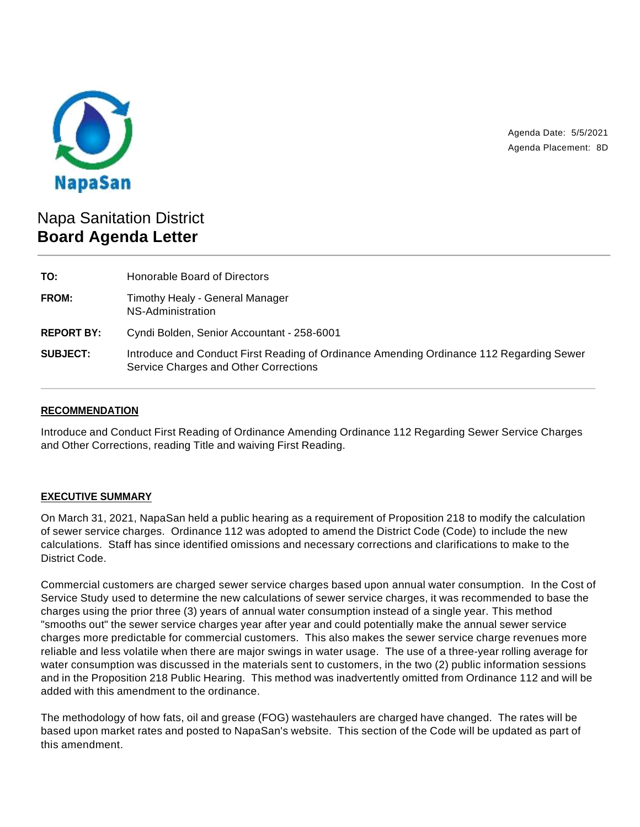

Agenda Date: 5/5/2021 Agenda Placement: 8D

# Napa Sanitation District **Board Agenda Letter**

| TO:               | Honorable Board of Directors                                                                                                     |
|-------------------|----------------------------------------------------------------------------------------------------------------------------------|
| FROM:             | Timothy Healy - General Manager<br>NS-Administration                                                                             |
| <b>REPORT BY:</b> | Cyndi Bolden, Senior Accountant - 258-6001                                                                                       |
| <b>SUBJECT:</b>   | Introduce and Conduct First Reading of Ordinance Amending Ordinance 112 Regarding Sewer<br>Service Charges and Other Corrections |

# **RECOMMENDATION**

Introduce and Conduct First Reading of Ordinance Amending Ordinance 112 Regarding Sewer Service Charges and Other Corrections, reading Title and waiving First Reading.

## **EXECUTIVE SUMMARY**

On March 31, 2021, NapaSan held a public hearing as a requirement of Proposition 218 to modify the calculation of sewer service charges. Ordinance 112 was adopted to amend the District Code (Code) to include the new calculations. Staff has since identified omissions and necessary corrections and clarifications to make to the District Code.

Commercial customers are charged sewer service charges based upon annual water consumption. In the Cost of Service Study used to determine the new calculations of sewer service charges, it was recommended to base the charges using the prior three (3) years of annual water consumption instead of a single year. This method "smooths out" the sewer service charges year after year and could potentially make the annual sewer service charges more predictable for commercial customers. This also makes the sewer service charge revenues more reliable and less volatile when there are major swings in water usage. The use of a three-year rolling average for water consumption was discussed in the materials sent to customers, in the two (2) public information sessions and in the Proposition 218 Public Hearing. This method was inadvertently omitted from Ordinance 112 and will be added with this amendment to the ordinance.

The methodology of how fats, oil and grease (FOG) wastehaulers are charged have changed. The rates will be based upon market rates and posted to NapaSan's website. This section of the Code will be updated as part of this amendment.